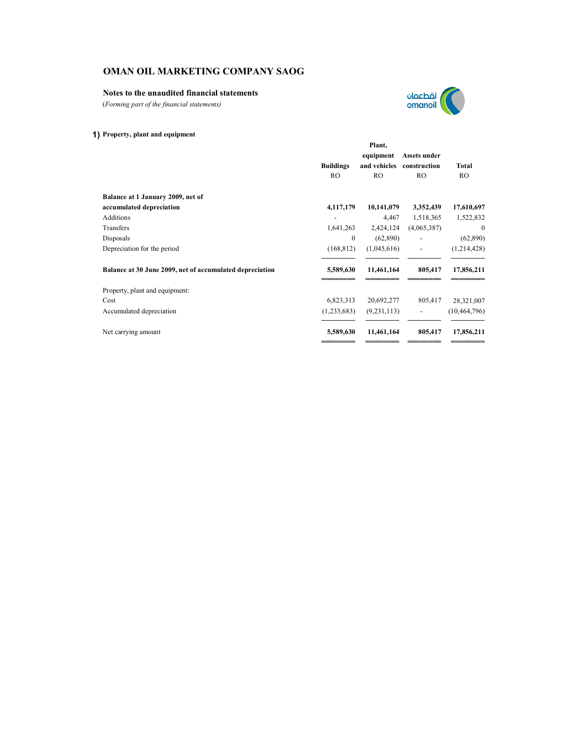# **Notes to the unaudited financial statements**

(*Forming part of the financial statements)*

# **1) Property, plant and equipment**

|                                                          | Plant,           |                |                |                |  |
|----------------------------------------------------------|------------------|----------------|----------------|----------------|--|
|                                                          |                  | equipment      | Assets under   |                |  |
|                                                          | <b>Buildings</b> | and vehicles   | construction   | <b>Total</b>   |  |
|                                                          | R <sub>O</sub>   | R <sub>O</sub> | R <sub>O</sub> | <b>RO</b>      |  |
| Balance at 1 January 2009, net of                        |                  |                |                |                |  |
| accumulated depreciation                                 | 4,117,179        | 10,141,079     | 3,352,439      | 17,610,697     |  |
| <b>Additions</b>                                         |                  | 4,467          | 1,518,365      | 1,522,832      |  |
| Transfers                                                | 1,641,263        | 2,424,124      | (4,065,387)    | $\mathbf{0}$   |  |
| Disposals                                                | $\mathbf{0}$     | (62,890)       |                | (62,890)       |  |
| Depreciation for the period                              | (168, 812)       | (1,045,616)    |                | (1,214,428)    |  |
| Balance at 30 June 2009, net of accumulated depreciation | 5,589,630        | 11,461,164     | 805,417        | 17,856,211     |  |
| Property, plant and equipment:                           |                  |                |                |                |  |
| Cost                                                     | 6,823,313        | 20,692,277     | 805,417        | 28,321,007     |  |
| Accumulated depreciation                                 | (1,233,683)      | (9, 231, 113)  |                | (10, 464, 796) |  |
| Net carrying amount                                      | 5,589,630        | 11,461,164     | 805,417        | 17,856,211     |  |
|                                                          |                  |                |                |                |  |

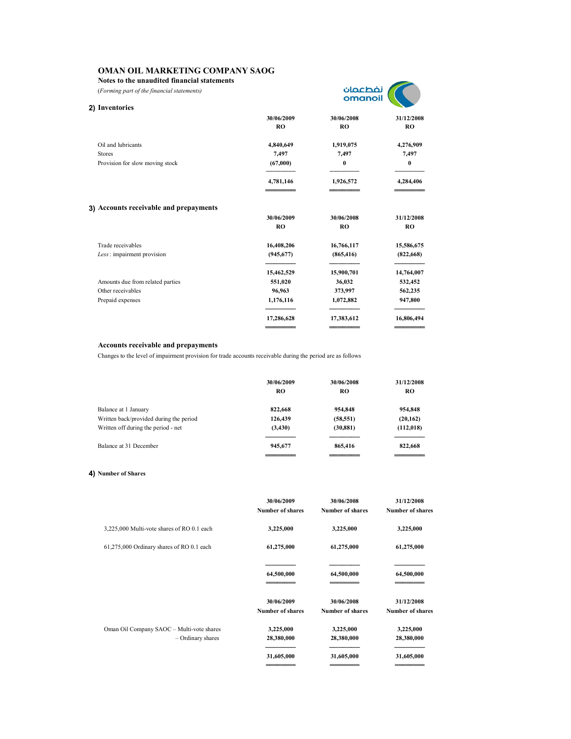**Notes to the unaudited financial statements**

(*Forming part of the financial statements)*



| 2) Inventories                         |            |            |            |
|----------------------------------------|------------|------------|------------|
|                                        | 30/06/2009 | 30/06/2008 | 31/12/2008 |
|                                        | <b>RO</b>  | <b>RO</b>  | <b>RO</b>  |
| Oil and lubricants                     | 4,840,649  | 1,919,075  | 4,276,909  |
| <b>Stores</b>                          | 7,497      | 7,497      | 7,497      |
| Provision for slow moving stock        | (67,000)   | $\bf{0}$   | $\bf{0}$   |
|                                        | 4,781,146  | 1,926,572  | 4,284,406  |
| 3) Accounts receivable and prepayments |            |            |            |
|                                        | 30/06/2009 | 30/06/2008 | 31/12/2008 |
|                                        | <b>RO</b>  | <b>RO</b>  | <b>RO</b>  |
| Trade receivables                      | 16,408,206 | 16,766,117 | 15,586,675 |
| Less: impairment provision             | (945, 677) | (865, 416) | (822, 668) |
|                                        | 15,462,529 | 15,900,701 | 14,764,007 |
| Amounts due from related parties       | 551,020    | 36,032     | 532,452    |
| Other receivables                      | 96,963     | 373,997    | 562,235    |
| Prepaid expenses                       | 1,176,116  | 1,072,882  | 947,800    |
|                                        | 17,286,628 | 17,383,612 | 16,806,494 |
|                                        |            |            |            |

## **Accounts receivable and prepayments**

Changes to the level of impairment provision for trade accounts receivable during the period are as follows

|                                         | 30/06/2009<br>RO | 30/06/2008<br>RO | 31/12/2008<br>RO |
|-----------------------------------------|------------------|------------------|------------------|
| Balance at 1 January                    | 822,668          | 954,848          | 954,848          |
| Written back/provided during the period | 126,439          | (58, 551)        | (20, 162)        |
| Written off during the period - net     | (3,430)          | (30, 881)        | (112,018)        |
| Balance at 31 December                  | 945,677          | 865,416          | 822,668          |

## **4) Number of Shares**

|                                                                | 30/06/2009<br><b>Number of shares</b> | 30/06/2008<br><b>Number of shares</b> | 31/12/2008<br><b>Number of shares</b> |
|----------------------------------------------------------------|---------------------------------------|---------------------------------------|---------------------------------------|
| 3,225,000 Multi-vote shares of RO 0.1 each                     | 3,225,000                             | 3,225,000                             | 3,225,000                             |
| 61,275,000 Ordinary shares of RO 0.1 each                      | 61,275,000                            | 61,275,000                            | 61,275,000                            |
|                                                                | 64,500,000                            | 64,500,000                            | 64,500,000                            |
|                                                                | 30/06/2009<br><b>Number of shares</b> | 30/06/2008<br><b>Number of shares</b> | 31/12/2008<br><b>Number of shares</b> |
| Oman Oil Company SAOC - Multi-vote shares<br>- Ordinary shares | 3,225,000<br>28,380,000               | 3,225,000<br>28,380,000               | 3,225,000<br>28,380,000               |
|                                                                | 31,605,000                            | 31,605,000                            | 31,605,000                            |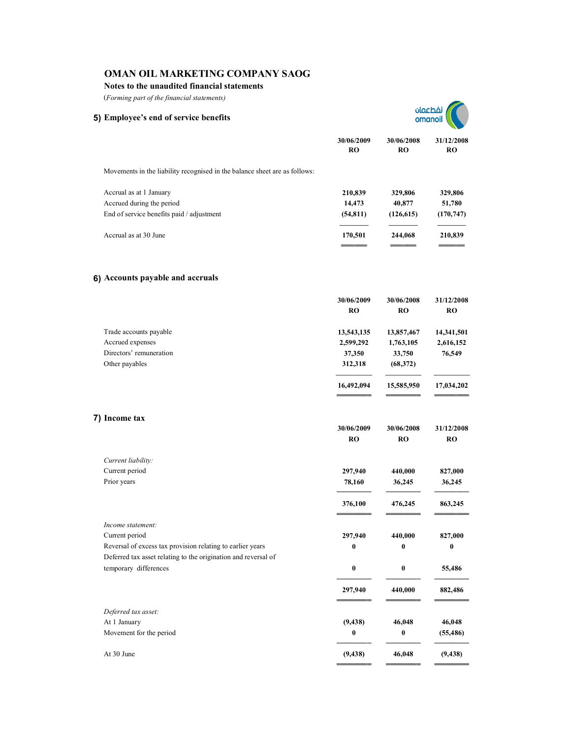**Notes to the unaudited financial statements**

(*Forming part of the financial statements)*

|                         | فطعمان<br>omanoi        |                         |  |
|-------------------------|-------------------------|-------------------------|--|
| 30/06/2009<br><b>RO</b> | 30/06/2008<br><b>RO</b> | 31/12/2008<br><b>RO</b> |  |
|                         |                         |                         |  |
| 210,839                 | 329,806                 | 329,806                 |  |
| 14,473                  | 40,877                  | 51,780                  |  |
| (54, 811)               | (126, 615)              | (170, 747)              |  |
| 170,501                 | 244,068                 | 210,839                 |  |
|                         |                         |                         |  |
|                         |                         |                         |  |

# **6) Accounts payable and accruals**

|                                                                | 30/06/2009<br><b>RO</b> | 30/06/2008<br><b>RO</b> | 31/12/2008<br><b>RO</b> |
|----------------------------------------------------------------|-------------------------|-------------------------|-------------------------|
| Trade accounts payable                                         | 13,543,135              | 13,857,467              | 14,341,501              |
| Accrued expenses                                               | 2,599,292               | 1,763,105               | 2,616,152               |
| Directors' remuneration                                        | 37,350                  | 33,750                  | 76,549                  |
| Other payables                                                 | 312,318                 | (68, 372)               |                         |
|                                                                | 16,492,094              | 15,585,950              | 17,034,202              |
| 7) Income tax                                                  |                         |                         |                         |
|                                                                | 30/06/2009<br><b>RO</b> | 30/06/2008<br>RO        | 31/12/2008<br><b>RO</b> |
| Current liability:                                             |                         |                         |                         |
| Current period                                                 | 297,940                 | 440,000                 | 827,000                 |
| Prior years                                                    | 78,160                  | 36,245                  | 36,245                  |
|                                                                | 376,100                 | 476,245                 | 863,245                 |
| Income statement:                                              |                         |                         |                         |
| Current period                                                 | 297,940                 | 440,000                 | 827,000                 |
| Reversal of excess tax provision relating to earlier years     | $\bf{0}$                | $\bf{0}$                | $\bf{0}$                |
| Deferred tax asset relating to the origination and reversal of |                         |                         |                         |
| temporary differences                                          | $\bf{0}$                | $\bf{0}$                | 55,486                  |
|                                                                | 297,940                 | 440,000                 | 882,486                 |
| Deferred tax asset:                                            |                         |                         |                         |
| At 1 January                                                   | (9, 438)                | 46,048                  | 46,048                  |
| Movement for the period                                        | $\bf{0}$                | $\bf{0}$                | (55, 486)               |
| At 30 June                                                     | (9, 438)                | 46,048                  | (9, 438)                |
|                                                                |                         |                         |                         |